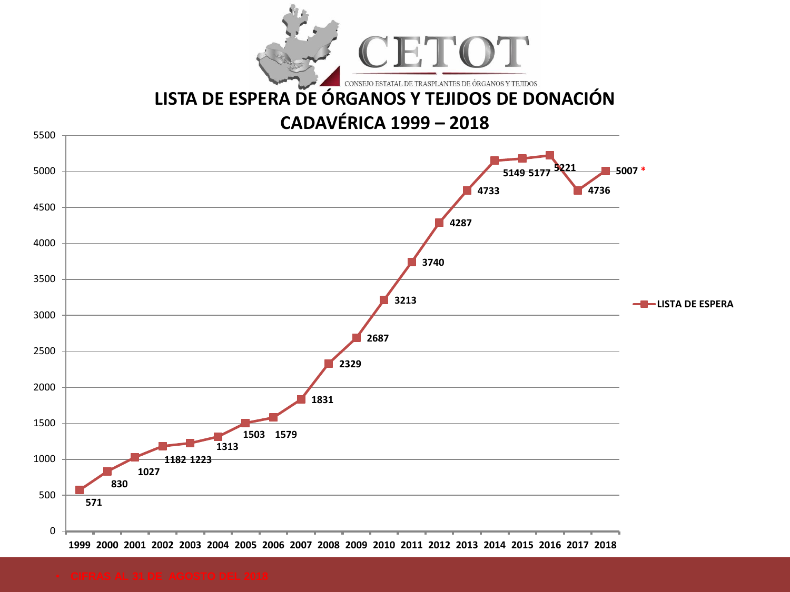

# **[LISTA DE ESPERA DE ÓRGANOS Y TEJIDOS DE DONACIÓN](GRAFICOS.xls)**

## **CADAVÉRICA 1999 – 2018**

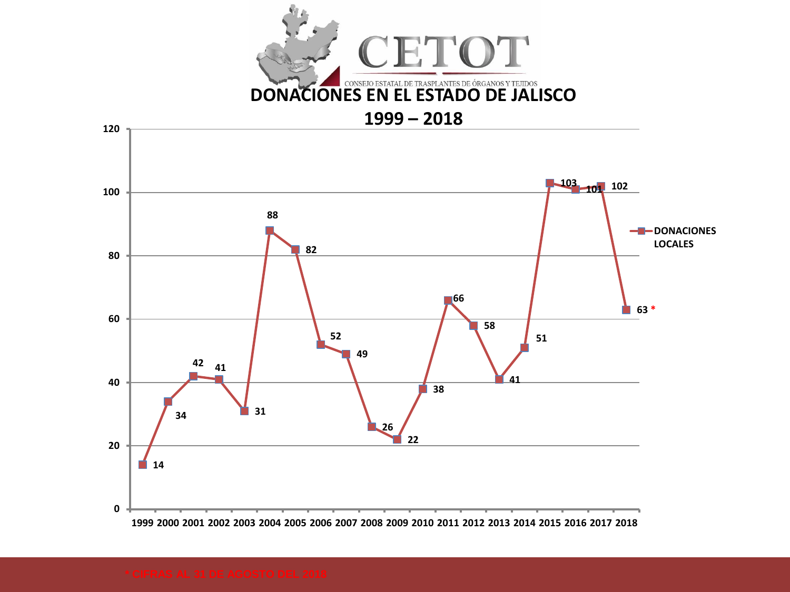

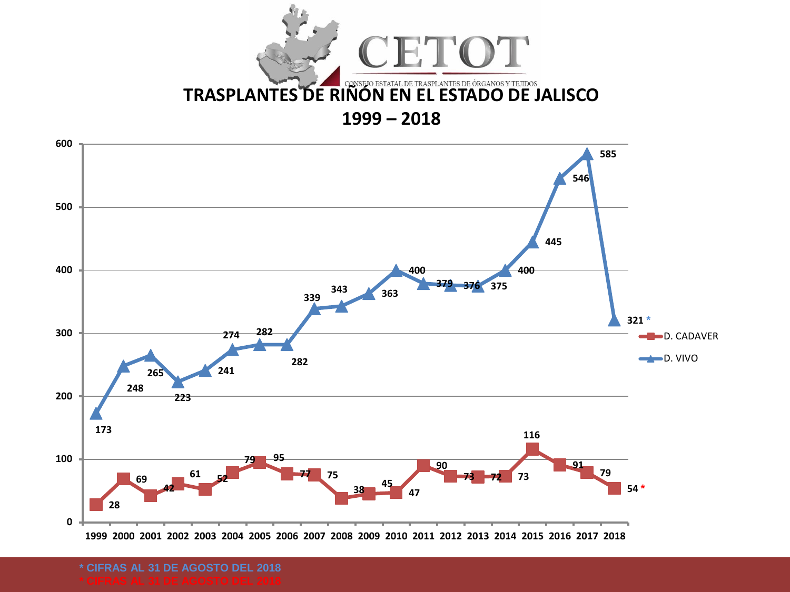



**\* CIFRAS AL 31 DE AGOSTO DEL 2018**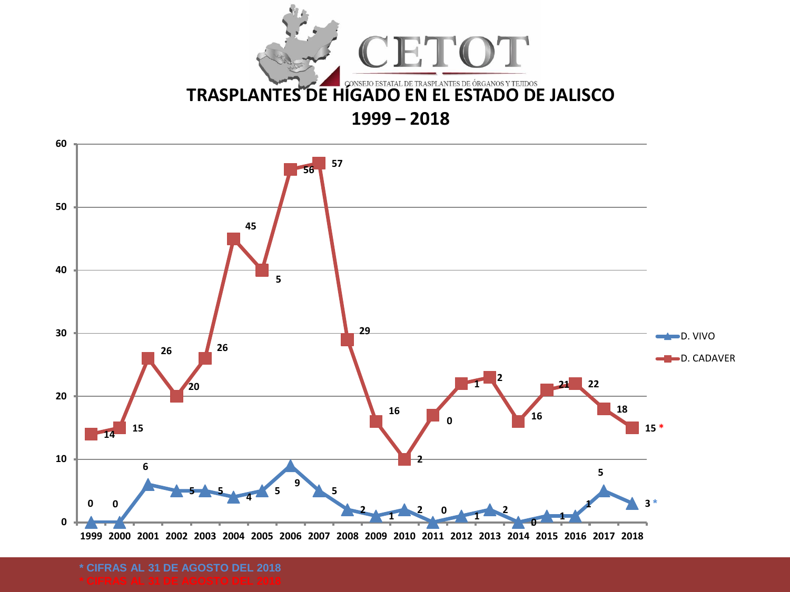



**\* CIFRAS AL 31 DE AGOSTO DEL 2018**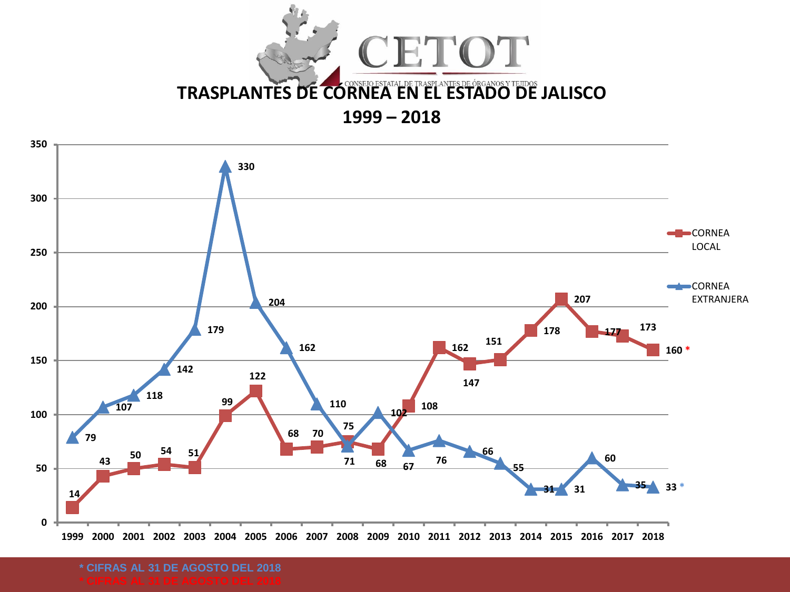



**\* CIFRAS AL 31 DE AGOSTO DEL 2018**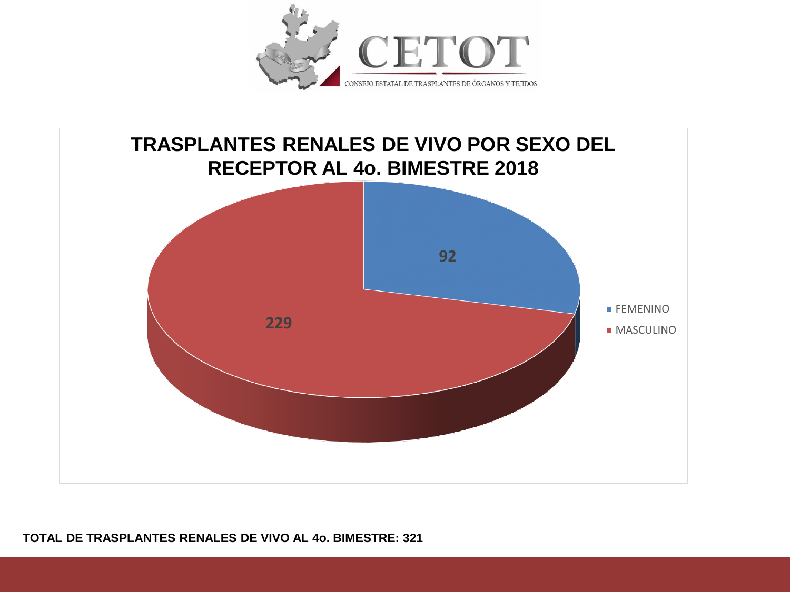



#### **TOTAL DE TRASPLANTES RENALES DE VIVO AL 4o. BIMESTRE: 321**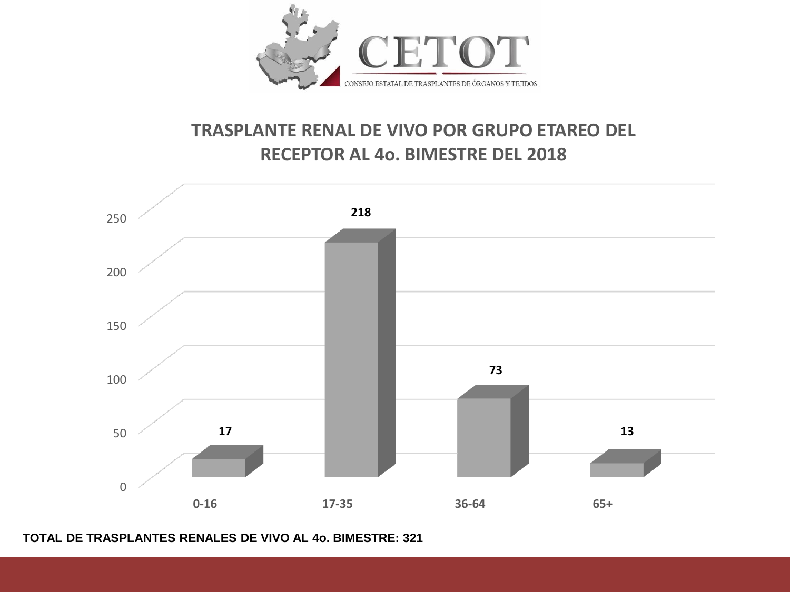

## **TRASPLANTE RENAL DE VIVO POR GRUPO ETAREO DEL RECEPTOR AL 4o. BIMESTRE DEL 2018**



**TOTAL DE TRASPLANTES RENALES DE VIVO AL 4o. BIMESTRE: 321**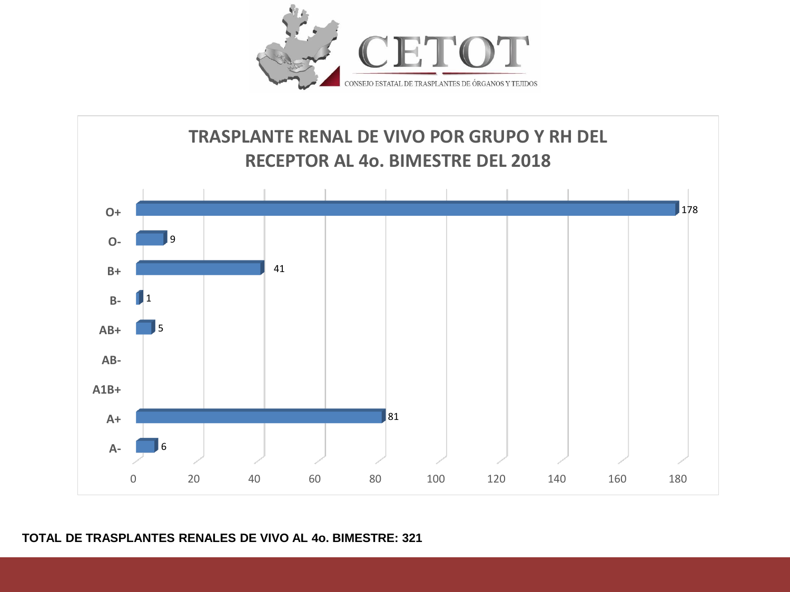



### **TOTAL DE TRASPLANTES RENALES DE VIVO AL 4o. BIMESTRE: 321**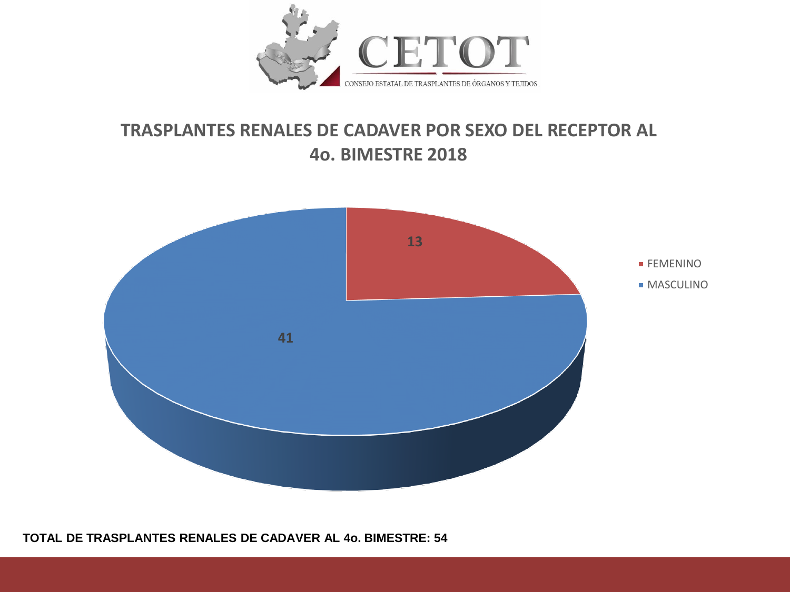

## **TRASPLANTES RENALES DE CADAVER POR SEXO DEL RECEPTOR AL 4o. BIMESTRE 2018**



#### **TOTAL DE TRASPLANTES RENALES DE CADAVER AL 4o. BIMESTRE: 54**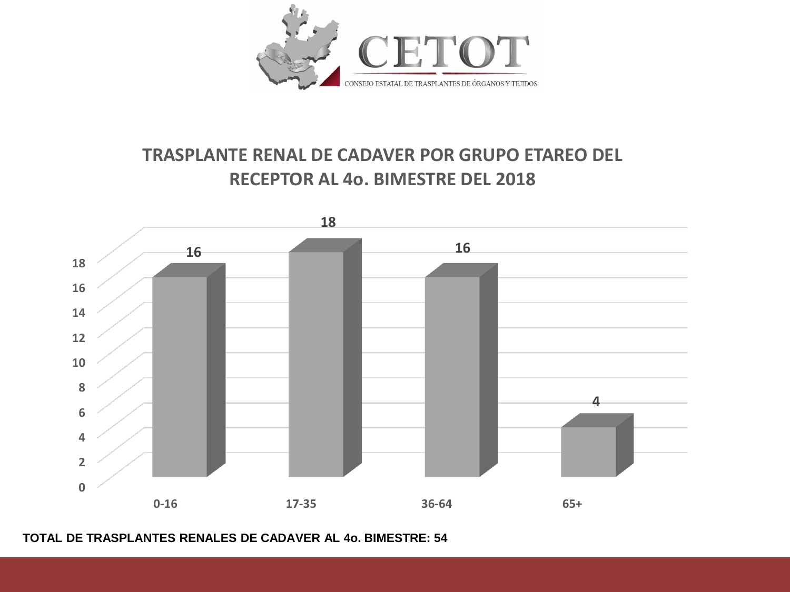

# **TRASPLANTE RENAL DE CADAVER POR GRUPO ETAREO DEL RECEPTOR AL 4o. BIMESTRE DEL 2018**



#### **TOTAL DE TRASPLANTES RENALES DE CADAVER AL 4o. BIMESTRE: 54**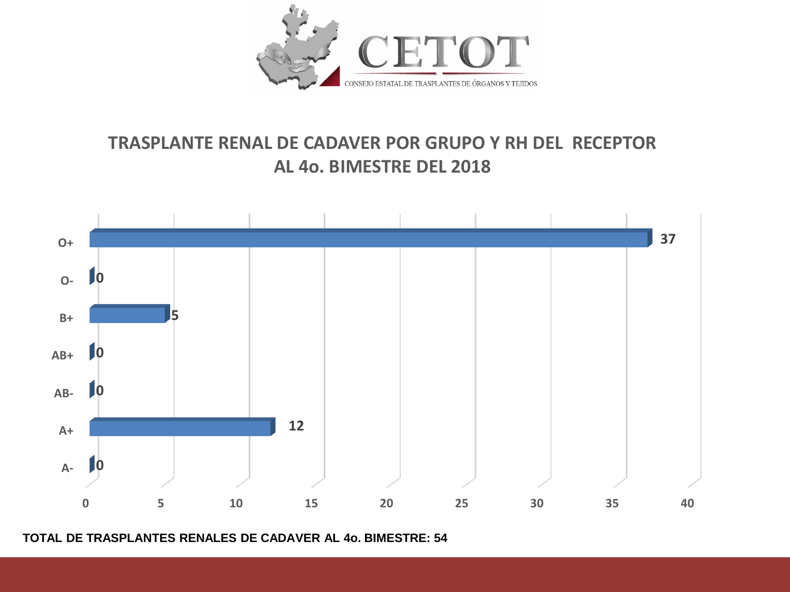

## **TRASPLANTE RENAL DE CADAVER POR GRUPO Y RH DEL RECEPTOR AL 4o. BIMESTRE DEL 2018**



**TOTAL DE TRASPLANTES RENALES DE CADAVER AL 4o. BIMESTRE: 54**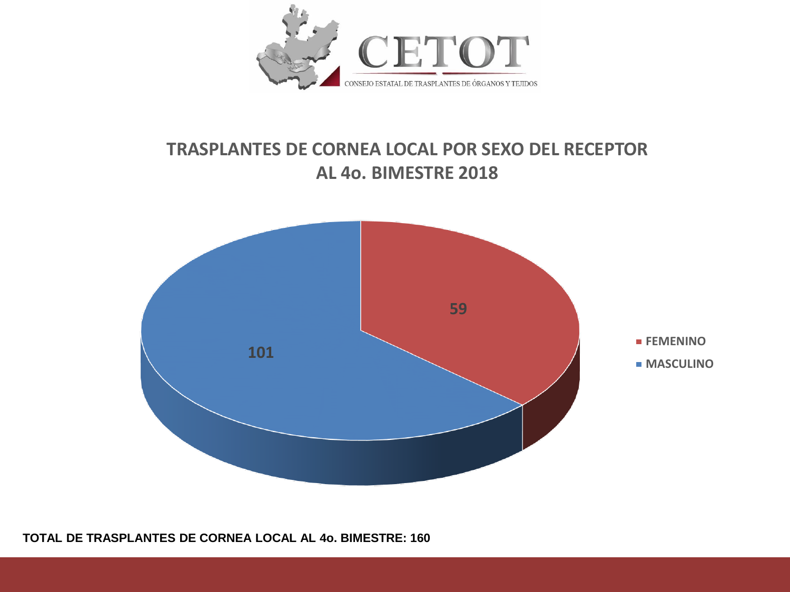

## **TRASPLANTES DE CORNEA LOCAL POR SEXO DEL RECEPTOR AL 4o. BIMESTRE 2018**



**TOTAL DE TRASPLANTES DE CORNEA LOCAL AL 4o. BIMESTRE: 160**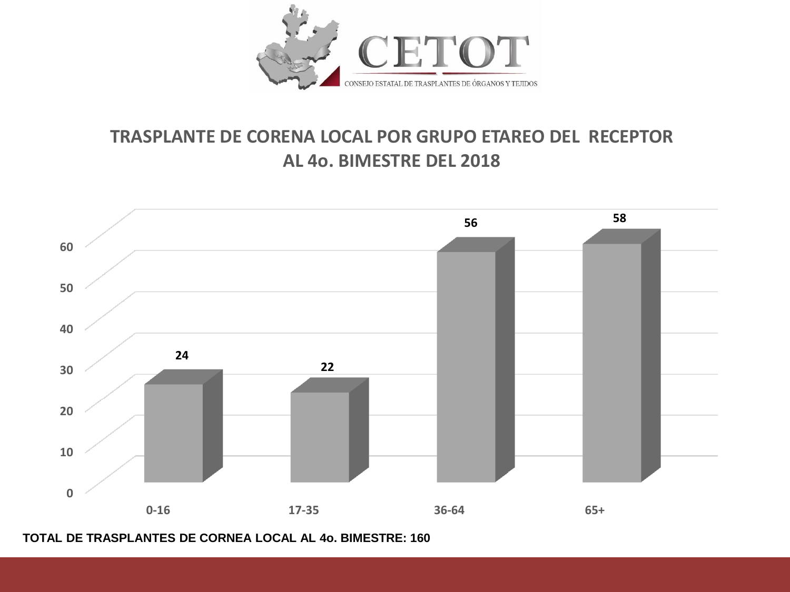

## **TRASPLANTE DE CORENA LOCAL POR GRUPO ETAREO DEL RECEPTOR AL 4o. BIMESTRE DEL 2018**



**TOTAL DE TRASPLANTES DE CORNEA LOCAL AL 4o. BIMESTRE: 160**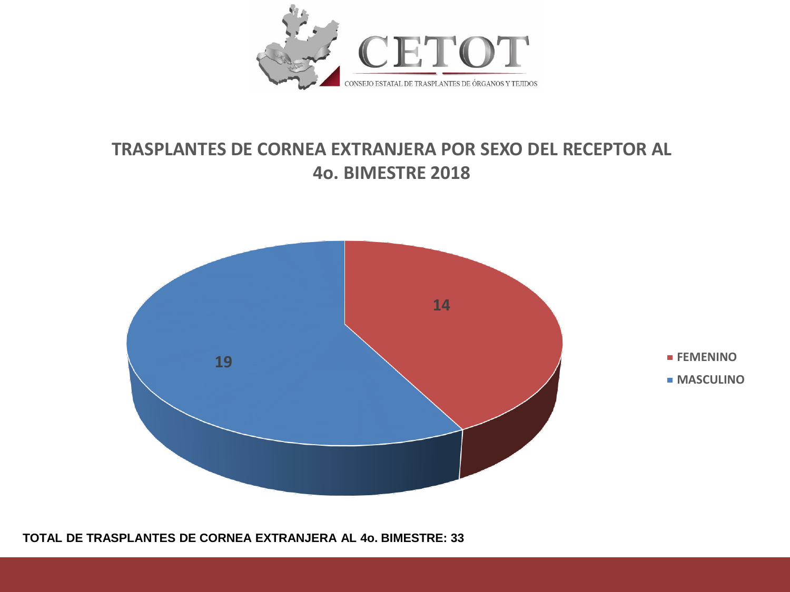

## **TRASPLANTES DE CORNEA EXTRANJERA POR SEXO DEL RECEPTOR AL 4o. BIMESTRE 2018**



**TOTAL DE TRASPLANTES DE CORNEA EXTRANJERA AL 4o. BIMESTRE: 33**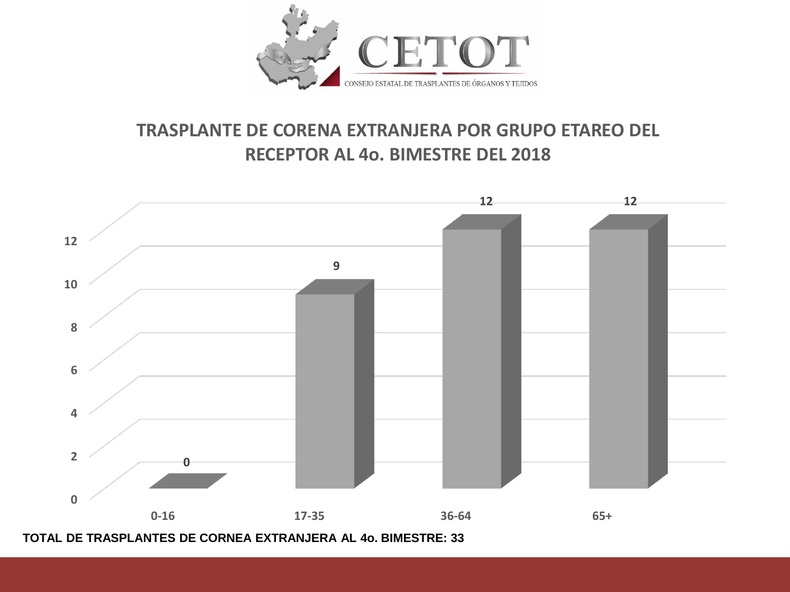

## **TRASPLANTE DE CORENA EXTRANJERA POR GRUPO ETAREO DEL RECEPTOR AL 4o. BIMESTRE DEL 2018**



**TOTAL DE TRASPLANTES DE CORNEA EXTRANJERA AL 4o. BIMESTRE: 33**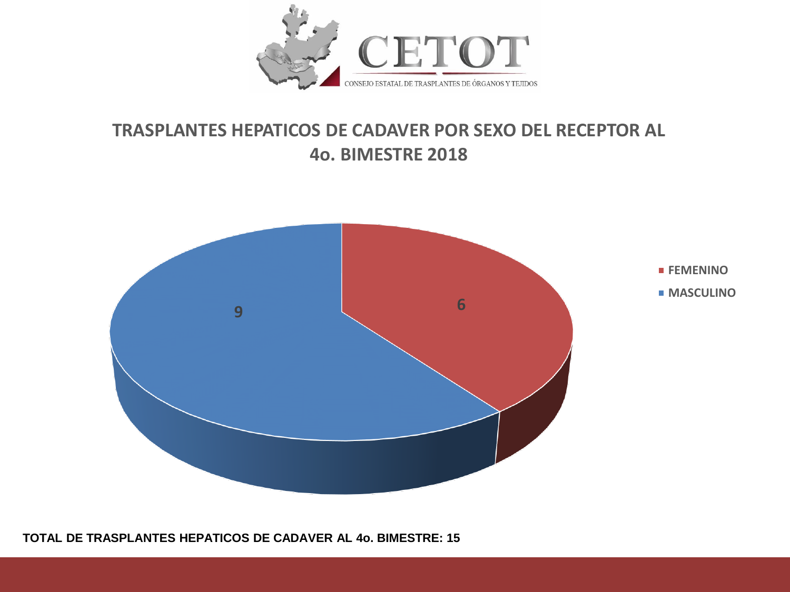

## **TRASPLANTES HEPATICOS DE CADAVER POR SEXO DEL RECEPTOR AL 4o. BIMESTRE 2018**



**TOTAL DE TRASPLANTES HEPATICOS DE CADAVER AL 4o. BIMESTRE: 15**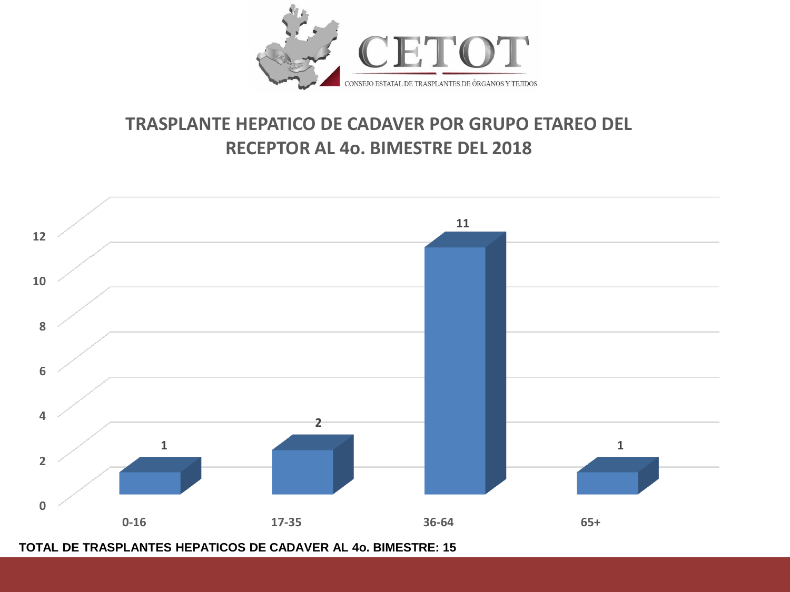

## **TRASPLANTE HEPATICO DE CADAVER POR GRUPO ETAREO DEL RECEPTOR AL 4o. BIMESTRE DEL 2018**



**TOTAL DE TRASPLANTES HEPATICOS DE CADAVER AL 4o. BIMESTRE: 15**